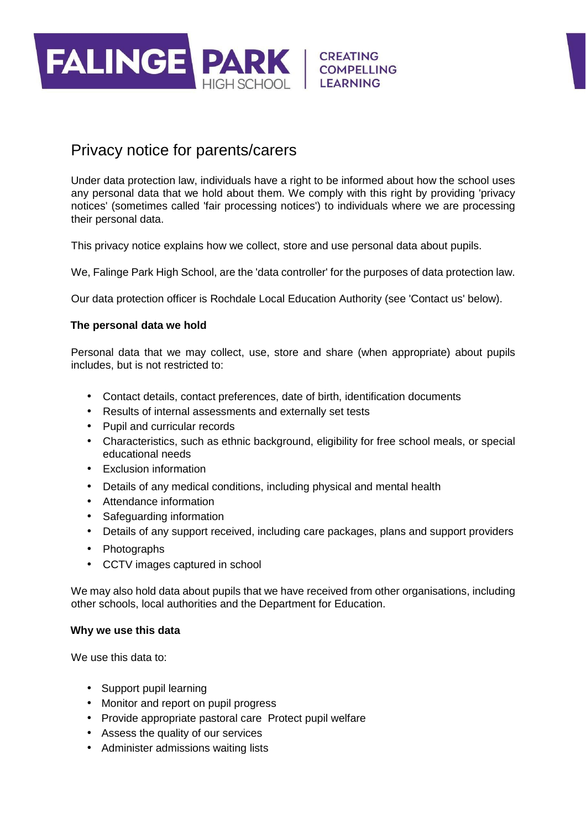

# Privacy notice for parents/carers

Under data protection law, individuals have a right to be informed about how the school uses any personal data that we hold about them. We comply with this right by providing 'privacy notices' (sometimes called 'fair processing notices') to individuals where we are processing their personal data.

This privacy notice explains how we collect, store and use personal data about pupils.

We, Falinge Park High School, are the 'data controller' for the purposes of data protection law.

Our data protection officer is Rochdale Local Education Authority (see 'Contact us' below).

## **The personal data we hold**

Personal data that we may collect, use, store and share (when appropriate) about pupils includes, but is not restricted to:

- Contact details, contact preferences, date of birth, identification documents
- Results of internal assessments and externally set tests
- Pupil and curricular records
- Characteristics, such as ethnic background, eligibility for free school meals, or special educational needs
- Exclusion information
- Details of any medical conditions, including physical and mental health
- Attendance information
- Safeguarding information
- Details of any support received, including care packages, plans and support providers
- Photographs
- CCTV images captured in school

We may also hold data about pupils that we have received from other organisations, including other schools, local authorities and the Department for Education.

#### **Why we use this data**

We use this data to:

- Support pupil learning
- Monitor and report on pupil progress
- Provide appropriate pastoral care Protect pupil welfare
- Assess the quality of our services
- Administer admissions waiting lists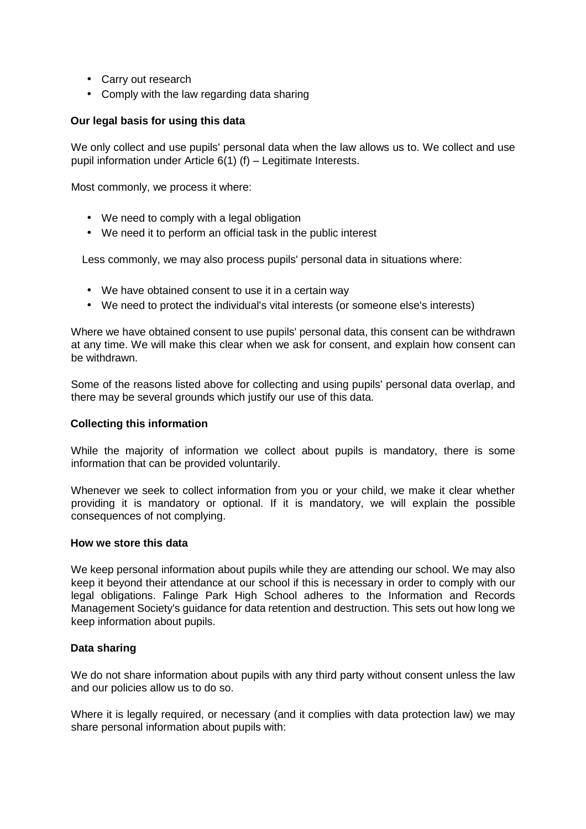- Carry out research
- Comply with the law regarding data sharing

# **Our legal basis for using this data**

We only collect and use pupils' personal data when the law allows us to. We collect and use pupil information under Article 6(1) (f) – Legitimate Interests.

Most commonly, we process it where:

- We need to comply with a legal obligation
- We need it to perform an official task in the public interest

Less commonly, we may also process pupils' personal data in situations where:

- We have obtained consent to use it in a certain way
- We need to protect the individual's vital interests (or someone else's interests)

Where we have obtained consent to use pupils' personal data, this consent can be withdrawn at any time. We will make this clear when we ask for consent, and explain how consent can be withdrawn.

Some of the reasons listed above for collecting and using pupils' personal data overlap, and there may be several grounds which justify our use of this data.

# **Collecting this information**

While the majority of information we collect about pupils is mandatory, there is some information that can be provided voluntarily.

Whenever we seek to collect information from you or your child, we make it clear whether providing it is mandatory or optional. If it is mandatory, we will explain the possible consequences of not complying.

#### **How we store this data**

We keep personal information about pupils while they are attending our school. We may also keep it beyond their attendance at our school if this is necessary in order to comply with our legal obligations. Falinge Park High School adheres to the Information and Records Management Society's guidance for data retention and destruction. This sets out how long we keep information about pupils.

# **Data sharing**

We do not share information about pupils with any third party without consent unless the law and our policies allow us to do so.

Where it is legally required, or necessary (and it complies with data protection law) we may share personal information about pupils with: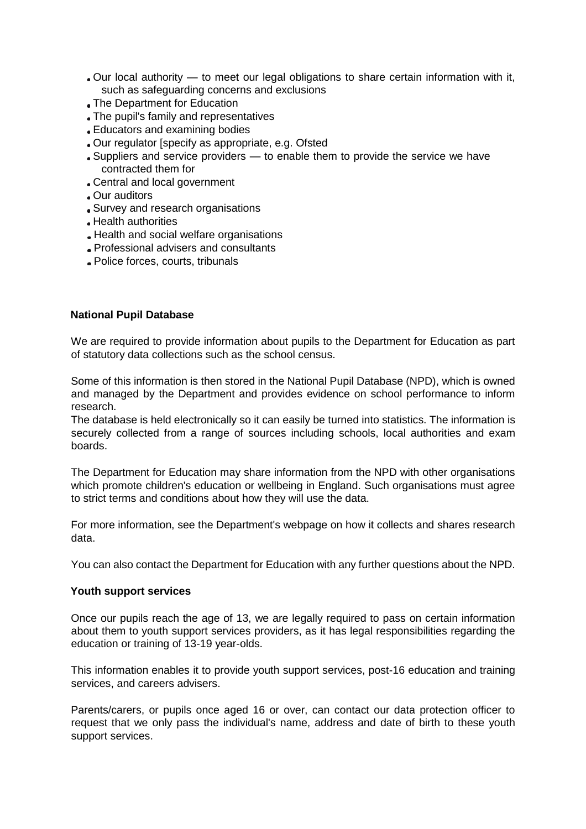- Our local authority to meet our legal obligations to share certain information with it, such as safeguarding concerns and exclusions
- The Department for Education
- The pupil's family and representatives
- Educators and examining bodies
- Our regulator [specify as appropriate, e.g. Ofsted
- Suppliers and service providers to enable them to provide the service we have contracted them for
- Central and local government
- Our auditors
- Survey and research organisations
- Health authorities
- Health and social welfare organisations
- Professional advisers and consultants
- Police forces, courts, tribunals

## **National Pupil Database**

We are required to provide information about pupils to the Department for Education as part of statutory data collections such as the school census.

Some of this information is then stored in the National Pupil Database (NPD), which is owned and managed by the Department and provides evidence on school performance to inform research.

The database is held electronically so it can easily be turned into statistics. The information is securely collected from a range of sources including schools, local authorities and exam boards.

The Department for Education may share information from the NPD with other organisations which promote children's education or wellbeing in England. Such organisations must agree to strict terms and conditions about how they will use the data.

For more information, see the Department's webpage on how it collects and shares research data.

You can also contact the Department for Education with any further questions about the NPD.

#### **Youth support services**

Once our pupils reach the age of 13, we are legally required to pass on certain information about them to youth support services providers, as it has legal responsibilities regarding the education or training of 13-19 year-olds.

This information enables it to provide youth support services, post-16 education and training services, and careers advisers.

Parents/carers, or pupils once aged 16 or over, can contact our data protection officer to request that we only pass the individual's name, address and date of birth to these youth support services.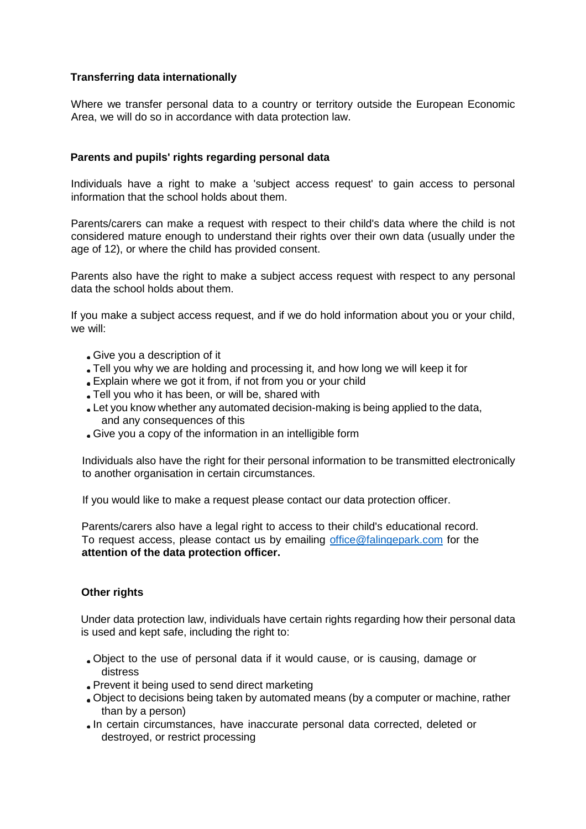# **Transferring data internationally**

Where we transfer personal data to a country or territory outside the European Economic Area, we will do so in accordance with data protection law.

# **Parents and pupils' rights regarding personal data**

Individuals have a right to make a 'subject access request' to gain access to personal information that the school holds about them.

Parents/carers can make a request with respect to their child's data where the child is not considered mature enough to understand their rights over their own data (usually under the age of 12), or where the child has provided consent.

Parents also have the right to make a subject access request with respect to any personal data the school holds about them.

If you make a subject access request, and if we do hold information about you or your child, we will:

- Give you a description of it
- Tell you why we are holding and processing it, and how long we will keep it for
- Explain where we got it from, if not from you or your child
- Tell you who it has been, or will be, shared with
- Let you know whether any automated decision-making is being applied to the data, and any consequences of this
- Give you a copy of the information in an intelligible form

Individuals also have the right for their personal information to be transmitted electronically to another organisation in certain circumstances.

If you would like to make a request please contact our data protection officer.

Parents/carers also have a legal right to access to their child's educational record. To request access, please contact us by emailing office@falingepark.com for the **attention of the data protection officer.**

# **Other rights**

Under data protection law, individuals have certain rights regarding how their personal data is used and kept safe, including the right to:

- Object to the use of personal data if it would cause, or is causing, damage or distress
- Prevent it being used to send direct marketing
- Object to decisions being taken by automated means (by a computer or machine, rather than by a person)
- In certain circumstances, have inaccurate personal data corrected, deleted or destroyed, or restrict processing